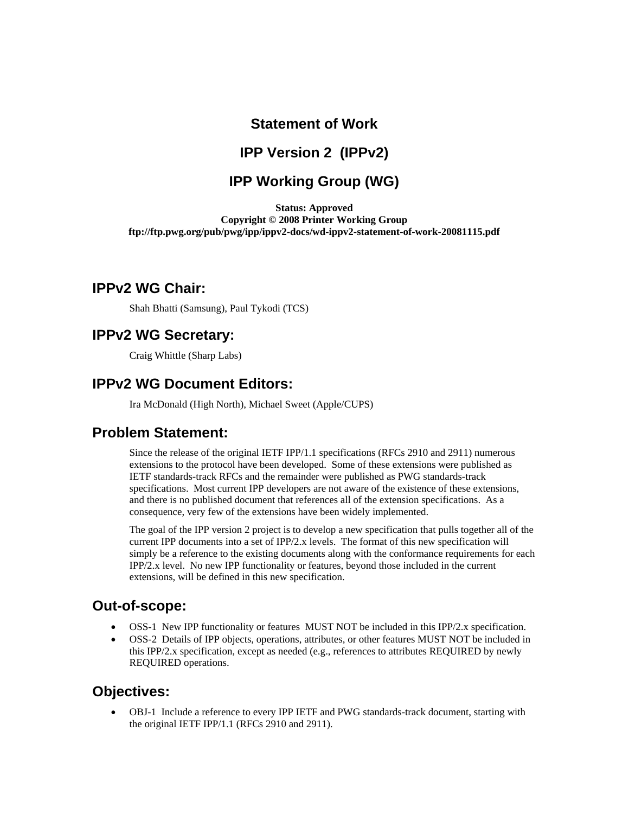# **Statement of Work**

## **IPP Version 2 (IPPv2)**

## **IPP Working Group (WG)**

**Status: Approved Copyright © 2008 Printer Working Group ftp://ftp.pwg.org/pub/pwg/ipp/ippv2-docs/wd-ippv2-statement-of-work-20081115.pdf** 

### **IPPv2 WG Chair:**

Shah Bhatti (Samsung), Paul Tykodi (TCS)

### **IPPv2 WG Secretary:**

Craig Whittle (Sharp Labs)

### **IPPv2 WG Document Editors:**

Ira McDonald (High North), Michael Sweet (Apple/CUPS)

### **Problem Statement:**

Since the release of the original IETF IPP/1.1 specifications (RFCs 2910 and 2911) numerous extensions to the protocol have been developed. Some of these extensions were published as IETF standards-track RFCs and the remainder were published as PWG standards-track specifications. Most current IPP developers are not aware of the existence of these extensions, and there is no published document that references all of the extension specifications. As a consequence, very few of the extensions have been widely implemented.

The goal of the IPP version 2 project is to develop a new specification that pulls together all of the current IPP documents into a set of IPP/2.x levels. The format of this new specification will simply be a reference to the existing documents along with the conformance requirements for each IPP/2.x level. No new IPP functionality or features, beyond those included in the current extensions, will be defined in this new specification.

## **Out-of-scope:**

- OSS-1 New IPP functionality or features MUST NOT be included in this IPP/2.x specification.
- OSS-2 Details of IPP objects, operations, attributes, or other features MUST NOT be included in this IPP/2.x specification, except as needed (e.g., references to attributes REQUIRED by newly REQUIRED operations.

## **Objectives:**

• OBJ-1 Include a reference to every IPP IETF and PWG standards-track document, starting with the original IETF IPP/1.1 (RFCs 2910 and 2911).